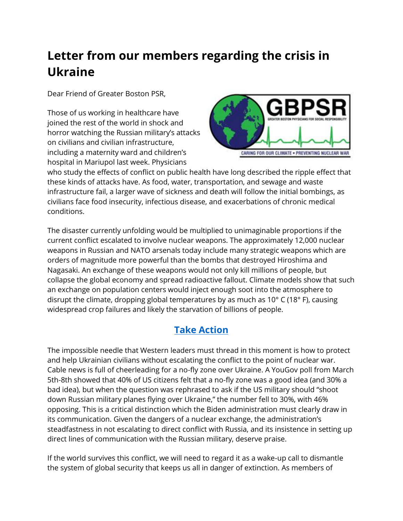## **Letter from our members regarding the crisis in Ukraine**

Dear Friend of Greater Boston PSR,

Those of us working in healthcare have joined the rest of the world in shock and horror watching the Russian military's attacks on civilians and civilian infrastructure, including a maternity ward and children's hospital in Mariupol last week. Physicians



who study the effects of conflict on public health have long described the ripple effect that these kinds of attacks have. As food, water, transportation, and sewage and waste infrastructure fail, a larger wave of sickness and death will follow the initial bombings, as civilians face food insecurity, infectious disease, and exacerbations of chronic medical conditions.

The disaster currently unfolding would be multiplied to unimaginable proportions if the current conflict escalated to involve nuclear weapons. The approximately 12,000 nuclear weapons in Russian and NATO arsenals today include many strategic weapons which are orders of magnitude more powerful than the bombs that destroyed Hiroshima and Nagasaki. An exchange of these weapons would not only kill millions of people, but collapse the global economy and spread radioactive fallout. Climate models show that such an exchange on population centers would inject enough soot into the atmosphere to disrupt the climate, dropping global temperatures by as much as 10° C (18° F), causing widespread crop failures and likely the starvation of billions of people.

## **[Take Action](https://secure.avaaz.org/campaign/en/no_nuclear_war_2022_21/?emci=0eb8c964-4ba6-ec11-a22a-281878b85110&emdi=01b863fa-b0aa-ec11-997e-281878b83d8a&ceid=176891)**

The impossible needle that Western leaders must thread in this moment is how to protect and help Ukrainian civilians without escalating the conflict to the point of nuclear war. Cable news is full of cheerleading for a no-fly zone over Ukraine. A YouGov poll from March 5th-8th showed that 40% of US citizens felt that a no-fly zone was a good idea (and 30% a bad idea), but when the question was rephrased to ask if the US military should "shoot down Russian military planes flying over Ukraine," the number fell to 30%, with 46% opposing. This is a critical distinction which the Biden administration must clearly draw in its communication. Given the dangers of a nuclear exchange, the administration's steadfastness in not escalating to direct conflict with Russia, and its insistence in setting up direct lines of communication with the Russian military, deserve praise.

If the world survives this conflict, we will need to regard it as a wake-up call to dismantle the system of global security that keeps us all in danger of extinction. As members of